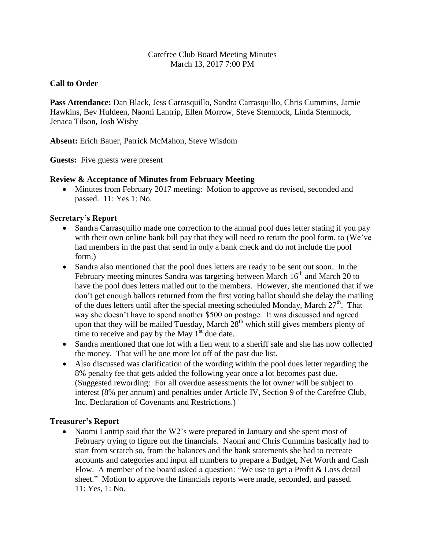### Carefree Club Board Meeting Minutes March 13, 2017 7:00 PM

### **Call to Order**

**Pass Attendance:** Dan Black, Jess Carrasquillo, Sandra Carrasquillo, Chris Cummins, Jamie Hawkins, Bev Huldeen, Naomi Lantrip, Ellen Morrow, Steve Stemnock, Linda Stemnock, Jenaca Tilson, Josh Wisby

**Absent:** Erich Bauer, Patrick McMahon, Steve Wisdom

**Guests:** Five guests were present

### **Review & Acceptance of Minutes from February Meeting**

• Minutes from February 2017 meeting: Motion to approve as revised, seconded and passed. 11: Yes 1: No.

### **Secretary's Report**

- Sandra Carrasquillo made one correction to the annual pool dues letter stating if you pay with their own online bank bill pay that they will need to return the pool form. to (We've had members in the past that send in only a bank check and do not include the pool form.)
- Sandra also mentioned that the pool dues letters are ready to be sent out soon. In the February meeting minutes Sandra was targeting between March  $16<sup>th</sup>$  and March 20 to have the pool dues letters mailed out to the members. However, she mentioned that if we don't get enough ballots returned from the first voting ballot should she delay the mailing of the dues letters until after the special meeting scheduled Monday, March  $27<sup>th</sup>$ . That way she doesn't have to spend another \$500 on postage. It was discussed and agreed upon that they will be mailed Tuesday, March 28<sup>th</sup> which still gives members plenty of time to receive and pay by the May  $1<sup>st</sup>$  due date.
- Sandra mentioned that one lot with a lien went to a sheriff sale and she has now collected the money. That will be one more lot off of the past due list.
- Also discussed was clarification of the wording within the pool dues letter regarding the 8% penalty fee that gets added the following year once a lot becomes past due. (Suggested rewording: For all overdue assessments the lot owner will be subject to interest (8% per annum) and penalties under Article IV, Section 9 of the Carefree Club, Inc. Declaration of Covenants and Restrictions.)

### **Treasurer's Report**

• Naomi Lantrip said that the W2's were prepared in January and she spent most of February trying to figure out the financials. Naomi and Chris Cummins basically had to start from scratch so, from the balances and the bank statements she had to recreate accounts and categories and input all numbers to prepare a Budget, Net Worth and Cash Flow. A member of the board asked a question: "We use to get a Profit & Loss detail sheet." Motion to approve the financials reports were made, seconded, and passed. 11: Yes, 1: No.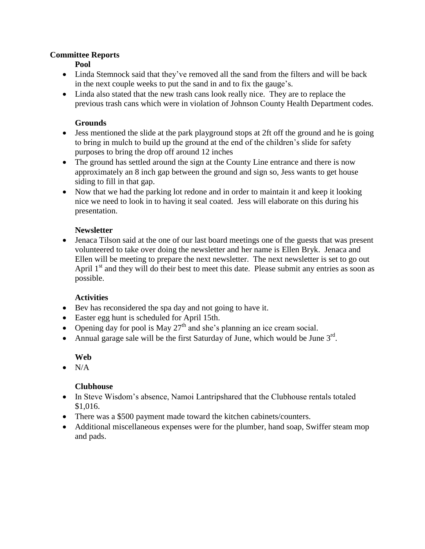#### **Committee Reports**

**Pool**

- Linda Stemnock said that they've removed all the sand from the filters and will be back in the next couple weeks to put the sand in and to fix the gauge's.
- Linda also stated that the new trash cans look really nice. They are to replace the previous trash cans which were in violation of Johnson County Health Department codes.

### **Grounds**

- Jess mentioned the slide at the park playground stops at 2ft off the ground and he is going to bring in mulch to build up the ground at the end of the children's slide for safety purposes to bring the drop off around 12 inches
- The ground has settled around the sign at the County Line entrance and there is now approximately an 8 inch gap between the ground and sign so, Jess wants to get house siding to fill in that gap.
- Now that we had the parking lot redone and in order to maintain it and keep it looking nice we need to look in to having it seal coated. Jess will elaborate on this during his presentation.

## **Newsletter**

 Jenaca Tilson said at the one of our last board meetings one of the guests that was present volunteered to take over doing the newsletter and her name is Ellen Bryk. Jenaca and Ellen will be meeting to prepare the next newsletter. The next newsletter is set to go out April  $1<sup>st</sup>$  and they will do their best to meet this date. Please submit any entries as soon as possible.

### **Activities**

- Bev has reconsidered the spa day and not going to have it.
- Easter egg hunt is scheduled for April 15th.
- Opening day for pool is May  $27<sup>th</sup>$  and she's planning an ice cream social.
- Annual garage sale will be the first Saturday of June, which would be June  $3<sup>rd</sup>$ .

### **Web**

 $\bullet$  N/A

# **Clubhouse**

- In Steve Wisdom's absence, Namoi Lantripshared that the Clubhouse rentals totaled \$1,016.
- There was a \$500 payment made toward the kitchen cabinets/counters.
- Additional miscellaneous expenses were for the plumber, hand soap, Swiffer steam mop and pads.